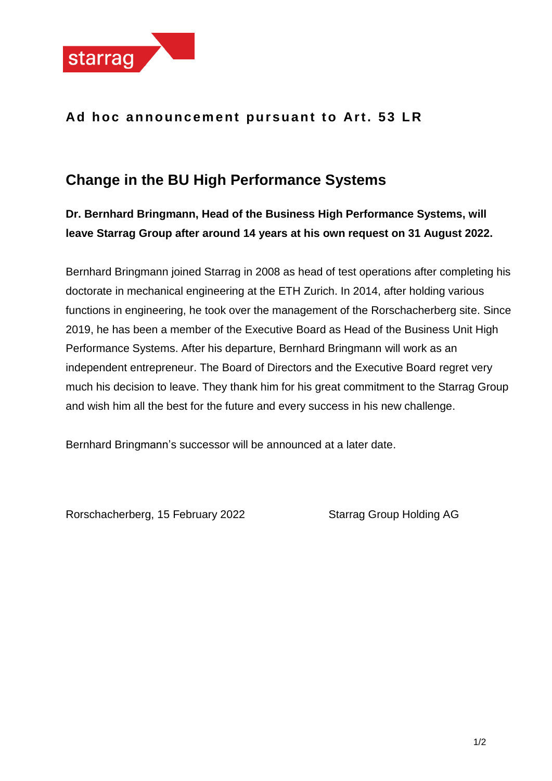

## Ad hoc announcement pursuant to Art. 53 LR

# **Change in the BU High Performance Systems**

**Dr. Bernhard Bringmann, Head of the Business High Performance Systems, will leave Starrag Group after around 14 years at his own request on 31 August 2022.**

Bernhard Bringmann joined Starrag in 2008 as head of test operations after completing his doctorate in mechanical engineering at the ETH Zurich. In 2014, after holding various functions in engineering, he took over the management of the Rorschacherberg site. Since 2019, he has been a member of the Executive Board as Head of the Business Unit High Performance Systems. After his departure, Bernhard Bringmann will work as an independent entrepreneur. The Board of Directors and the Executive Board regret very much his decision to leave. They thank him for his great commitment to the Starrag Group and wish him all the best for the future and every success in his new challenge.

Bernhard Bringmann's successor will be announced at a later date.

Rorschacherberg, 15 February 2022 Starrag Group Holding AG